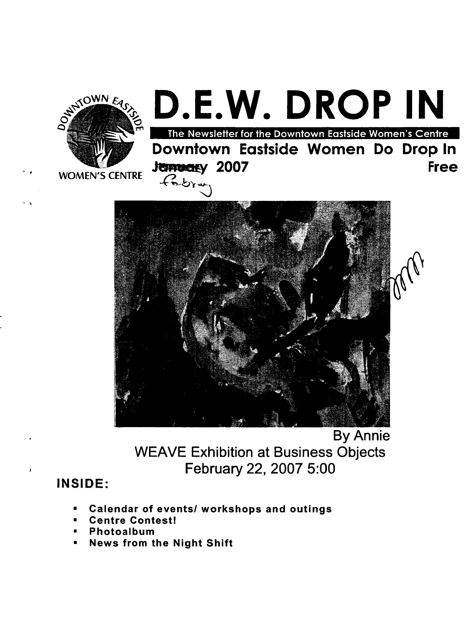

- ,

 $\cdot$  t

. ,

## Downtown Eastside Women Do Drop In Free The Newsletter for the Downtown Eastside Women's Centre **Jermenty** 2007  $D.E.W. DROP IN$



By Annie WEAVE Exhibition at Business Objects February 22, 2007 5:00

#### INSIDE:

- Calendar of events/ workshops and outings
- Centre Contest!
- Photoalbum
- News from the Night Shift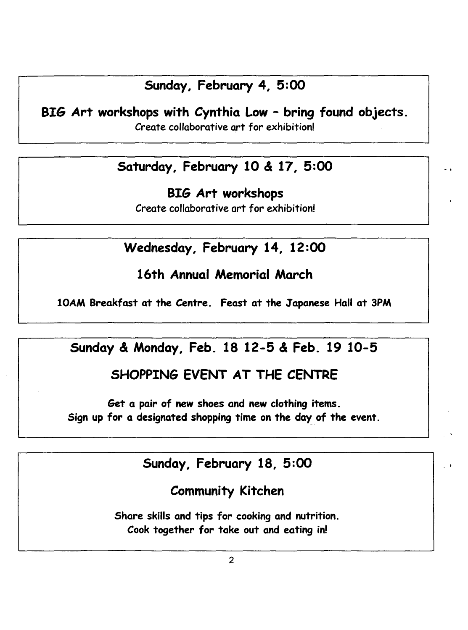#### Sunday, February 4, 5:00

BIG Art workshops with Cynthia Low - bring found objects.

Create collaborative art for exhibition!

### Saturday, February 10 & 17, 5:00

BIG Art workshops Create collaborative art for exhibition!

#### Wednesday, February 14, 12:00

#### 16th Annual Memorial March

lOAM Breakfast at the Centre. Feast at the Japanese Hall at 3PM

#### Sunday & Monday, Feb. 18 12-5 & Feb. 19 10-5

#### SHOPPING EVENT AT THE CENTRE

Get a pair of new shoes and new clothing items. Sign up for a designated shopping time on the day of the event.

#### Sunday, February 18, 5:00

, .

#### Community Kitchen

Share skills and tips for cooking and nutrition. Cook together for take out and eating in!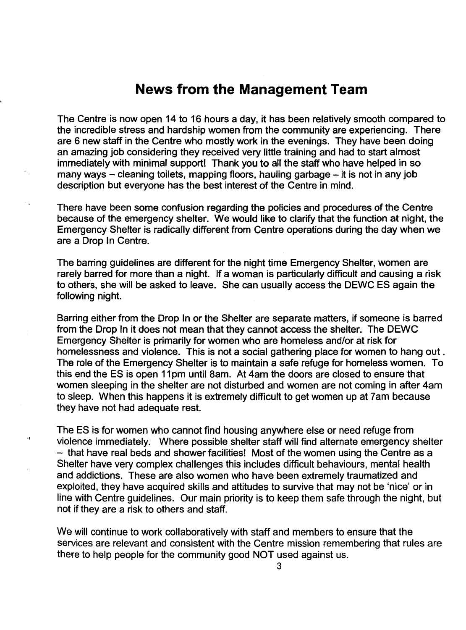#### **News from the Management Team**

The Centre is now open 14 to 16 hours a day, it has been relatively smooth compared to the incredible stress and hardship women from the community are experiencing. There are 6 new staff in the Centre who mostly work in the evenings. They have been doing an amazing job considering they received very little training and had to start almost immediately with minimal support! Thank you to all the staff who have helped in so many ways  $-$  cleaning toilets, mapping floors, hauling garbage  $-$  it is not in any job description but everyone has the best interest of the Centre in mind.

There have been some confusion regarding the policies and procedures of the Centre because of the emergency shelter. We would like to clarify that the function at night, the Emergency Shelter is radically different from Centre operations during the day when we are a Drop In Centre.

The barring guidelines are different for the night time Emergency Shelter, women are rarely barred for more than a night. If a woman is particularly difficult and causing a risk to others, she will be asked to leave. She can usually access the DEWC ES again the following night.

Barring either from the Drop In or the Shelter are separate matters, if someone is barred from the Drop In it does not mean that they cannot access the shelter. The DEWC Emergency Shelter is primarily for women who are homeless and/or at risk for homelessness and violence. This is not a social gathering place for women to hang out. The role of the Emergency Shelter is to maintain a safe refuge for homeless women. To this end the ES is open 11 pm until 8am. At 4am the doors are closed to ensure that women sleeping in the shelter are not disturbed and women are not coming in after 4am to sleep. When this happens it is extremely difficult to get women up at 7am because they have not had adequate rest.

The ES is for women who cannot find housing anywhere else or need refuge from violence immediately. Where possible shelter staff will find alternate emergency shelter  $-$  that have real beds and shower facilities! Most of the women using the Centre as a Shelter have very complex challenges this includes difficult behaviours, mental health and addictions. These are also women who have been extremely traumatized and exploited, they have acquired skills and attitudes to survive that may not be 'nice' or in line with Centre guidelines. Our main priority is to keep them safe through the night, but not if they are a risk to others and staff.

 $\ddot{\phantom{a}}$ 

We will continue to work collaboratively with staff and members to ensure that the services are relevant and consistent with the Centre mission remembering that rules are there to help people for the community good NOT used against us.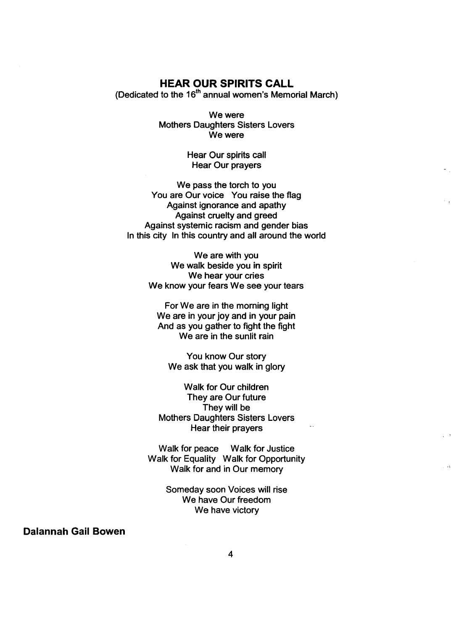#### **HEAR OUR SPIRITS CALL**

(Dedicated to the  $16<sup>th</sup>$  annual women's Memorial March)

We were Mothers Daughters Sisters Lovers We were

> Hear Our spirits call Hear Our prayers

We pass the torch to you You are Our voice You raise the flag Against ignorance and apathy Against cruelty and greed Against systemic racism and gender bias In this city In this country and all around the world

> We are with you We walk beside you in spirit We hear your cries We know your fears We see your tears

For We are in the morning light We are in your joy and in your pain And as you gather to fight the fight We are in the sunlit rain

You know Our story We ask that you walk in glory

Walk for Our children They are Our future They will be Mothers Daughters Sisters Lovers Hear their prayers

Walk for peace Walk for Justice Walk for Equality Walk for Opportunity Walk for and in Our memory

> Someday soon Voices will rise We have Our freedom We have victory

**Dalannah Gail Bowen**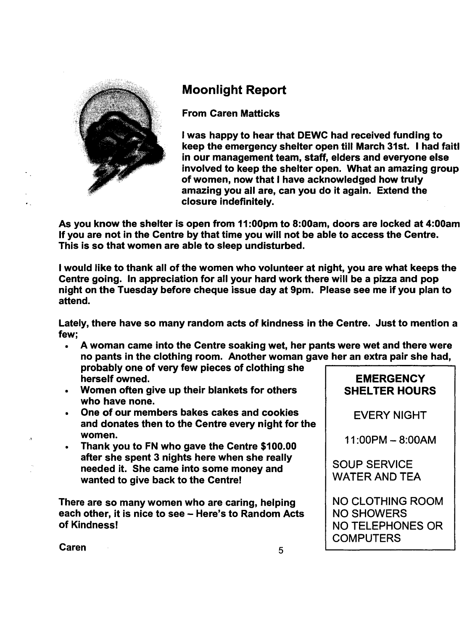

"

#### Moonlight Report

From Caren Matticks

I was happy to hear that OEWC had received funding to keep the emergency shelter open till March 31st. I had faitl in our management team, staff, elders and everyone else involved to keep the shelter open. What an amazing group of women, now that I have acknowledged how truly amazing you all are, can you do it again. Extend the closure indefinitely.

As you know the shelter is open from 11 :OOpm to 8:00am, doors are locked at 4:00am If you are not in the Centre by that time you will not be able to access the Centre. This is so that women are able to sleep undisturbed.

I would like to thank all of the women who volunteer at night, you are what keeps the Centre going. In appreciation for all your hard work there will be a pizza and pop night on the Tuesday before cheque issue day at 9pm. Please see me if you plan to attend.

Lately, there have so many random acts of kindness in the Centre. Just to mention a few;

- A woman came into the Centre soaking wet, her pants were wet and there were no pants in the clothing room. Another woman gave her an extra pair she had,
- probably one of very few pieces of clothing' she herself owned.
- Women often give up their blankets for others who have none.
- One of our members bakes cakes and cookies and donates then to the Centre every night for the women.
- Thank you to FN who gave the Centre \$100.00 after she spent 3 nights here when she really needed it. She came into some money and wanted to give back to the Centre!

There are so many women who are caring, helping each other, it is nice to see - Here's to Random Acts of Kindness!

#### **EMERGENCY** SHELTER HOURS

EVERY NIGHT

 $11:00PM - 8:00AM$ 

SOUP SERVICE WATER AND TEA

NO CLOTHING ROOM NO SHOWERS NO TELEPHONES OR **COMPUTERS** 

**Caren 6 - Expanding Service Caren 6 - Expanding Service Caren 6 - Expanding Service Caren 6 - Service Caren 6**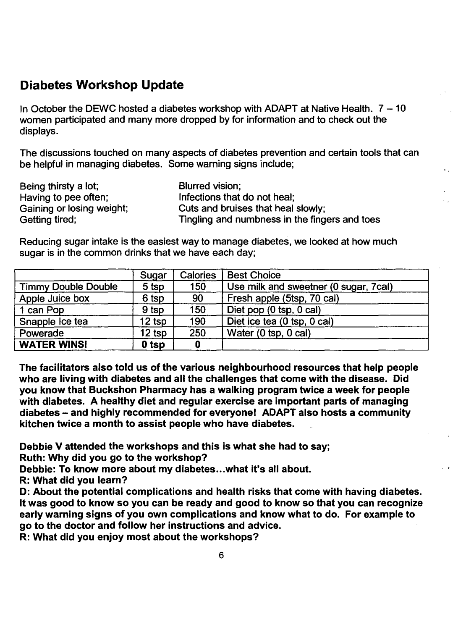#### Diabetes Workshop Update

In October the DEWC hosted a diabetes workshop with ADAPT at Native Health.  $7 - 10$ women participated and many more dropped by for information and to check out the displays.

The discussions touched on many aspects of diabetes prevention and certain tools that can be helpful in managing diabetes. Some warning signs include;

| Being thirsty a lot;      | Blurred vision;                               |
|---------------------------|-----------------------------------------------|
| Having to pee often;      | Infections that do not heal:                  |
| Gaining or losing weight; | Cuts and bruises that heal slowly;            |
| Getting tired;            | Tingling and numbness in the fingers and toes |

Reducing sugar intake is the easiest way to manage diabetes, we looked at how much sugar is in the common drinks that we have each day;

|                            | Sugar    | <b>Calories</b> | <b>Best Choice</b>                    |
|----------------------------|----------|-----------------|---------------------------------------|
| <b>Timmy Double Double</b> | 5 tsp    | 150             | Use milk and sweetner (0 sugar, 7cal) |
| Apple Juice box            | 6 tsp    | 90              | Fresh apple (5tsp, 70 cal)            |
| 1 can Pop                  | 9 tsp    | 150             | Diet pop (0 tsp, 0 cal)               |
| Snapple Ice tea            | $12$ tsp | 190             | Diet ice tea (0 tsp, 0 cal)           |
| Powerade                   | 12 tsp   | 250             | Water (0 tsp, 0 cal)                  |
| <b>WATER WINS!</b>         | $0$ tsp  |                 |                                       |

The facilitators also told us of the various neighbourhood resources that help people who are living with diabetes and all the challenges that come with the disease. Did you know that Buckshon Pharmacy has a walking program twice a week for people with diabetes. A healthy diet and regular exercise are important parts of managing diabetes – and highly recommended for everyone! ADAPT also hosts a community kitchen twice a month to assist people who have diabetes.

Debbie V attended the workshops and this is what she had to say;

Ruth: Why did you go to the workshop?

Debbie: To know more about my diabetes...what it's all about.

R: What did you learn?

D: About the potential complications and health risks that come with having diabetes. It was good to know so you can be ready and good to know so that you can recognize early warning signs of you own complications and know what to do. For example to go to the doctor and follow her instructions and advice.

R: What did you enjoy most about the workshops?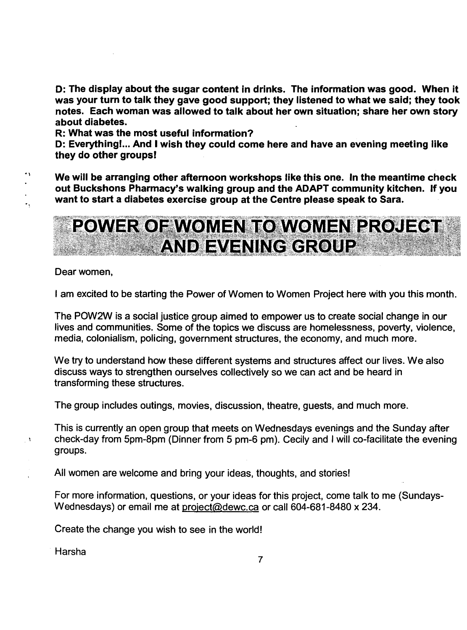D: The display about the sugar content in drinks. The information was good. When it was your turn to talk they gave good support; they listened to what we said; they took notes. Each woman was allowed to talk about her own situation; share her own story about diabetes.

R: What was the most useful information?

D: Everythingl... And I wish they could come here and have an evening meeting like they do other groupsl

We will be arranging other afternoon workshops like this one. In the meantime check out Buckshons Pharmacy's walking group and the ADAPT community kitchen. If you want to start a diabetes exercise group at the Centre please speak to Sara.



Dear women,

 $\ddot{\phantom{a}}$ 

 $\overline{\phantom{a}}$  ,

 $\ddot{\phantom{1}}$ 

I am excited to be starting the Power of Women to Women Project here with you this month.

The POW2W is a social justice group aimed to empower us to create social change in our lives and communities. Some of the topics we discuss are homelessness, poverty, violence, media, colonialism, policing, government structures, the economy, and much more.

We try to understand how these different systems and structures affect our lives. We also discuss ways to strengthen ourselves collectively so we can act and be heard in transforming these structures.

The group includes outings, movies, discussion, theatre, guests, and much more.

This is currently an open group that meets on Wednesdays evenings and the Sunday after check-day from 5pm-8pm (Dinner from 5 pm-6 pm). Cecily and I will co-facilitate the evening groups.

All women are welcome and bring your ideas, thoughts, and stories!

For more information, questions, or your ideas for this project, come talk to me (Sundays-Wednesdays) or email me at project@dewc.ca or call 604-681-8480 x 234.

Create the change you wish to see in the world!

Harsha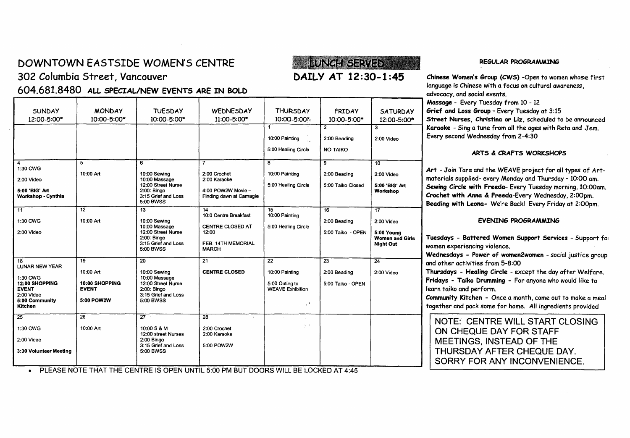## DOWNTOWN EASTSIDE WOMEN'S CENTRE

2:00 Video 10:00 Massage 2:00 Karaoke 2:00 Karaoke 2:00 Karaoke 2:00 Karaoke 2:00 Karaoke 2:00 Karaoke 2:00 Karaoke 2:00 Karaoke 2:00 Karaoke 2:00 Karaoke 2:00 Karaoke 2:00 Karaoke 2:00 Karaoke 2:00 Karaoke 2:00 Karaoke 2:

1:30 CWG<br>
12:00 SHOPPING 10:00 SHOPPING 12:00 Street Nurse

2:00 Video <br>5:00 Community 5:00 POW2W 5:00 BWSS

2:00 Video 2:00 Bingo

3:30 Volunteer Meeting | S:00 BWSS

25 26 27 28

1:30 CWG 10:00 Art 10:00 S & M 2:00 Crochet

Workshop - Cynthia 3:15 Grief and Loss Finding dawn at Camagie

5:00 BWSS

5:00 BWSS

EVENT EVENT 2:00: Bingo<br>
2:00 Video WEAVE Exhibition<br>
2:00 Video WEAVE Exhibition

5:00 Community 5:00POW2W 5:00 BWSS . Kitchen ,

302 Columbia Street, Vancouver

1:30CWG

LUNAR NEW YEAR

### **LUNGH SERVED** DAILY AT 12:30-1 :45

2:00 Beading 2:00 Video

1  $\begin{array}{|c|c|c|c|c|}\n1 & 2 & 3 \\
2 & 3 & 3\n\end{array}$ 

5:00 Healing Circle | NO TAIKO

 $\epsilon_{\rm s} = \frac{1}{2}$ 

10:00 Painting

12:00 Street Nurse 5:00 Healing Circle 5:00 Taiko Closed 5:00 'BIG' Art

2:00: Bingo **Nomen and Girls** 2:00: Bingo **Nomen and Girls** 2:00: Bingo **Nomen and Girls** 2:15 Grief and Loss **Communist Communist Communist Communist Communist Communist Communist Communist Communist Communist Communist C** 

REGULAR PROGRAMMING

Chinese Women's Group (CWS) -Open to women whose first language is Chinese with a focus on cultural awareness, advocacy, and social events. Massage - Every Tuesday from 10 - 12

Grief and Loss Group - Every Tuesday at 3:15 Street Nurses, Christina or Liz, scheduled to be announced Karaoke - Sing a tune from all the ages with Reta and Jem. Every second Wednesday from 2-4:30

#### ARTS & CRAFTS WORKSHOPS

Art - Join Tara and the WEAVE project for all types of Artmaterials supplied- every Monday and Thursday - 10:00 am. Sewing Circle with Freeda- Every Tuesday morning, 10:00am. Crochet with Anna & Freeda-Every Wednesday, 2:00pm. Beading with Leona- We're Back! Every Friday at 2:00pm.

#### EVENING PROGRAMMING

Tuesdays - Battered Women Support Services - Support fOI women experiencing violence.

Wednesdays - Power of women2women - social justice group and other activities from 5-8:00

Thursdays - Healing Circle - except the day after Welfare. Fridays - Taiko Drumming - For anyone who would like to learn taiko and perform.

Community Kitchen - Once a month, come out to make a meal together and pack some for home. All ingredients provided

NOTE: CENTRE WILL START CLOSING ON CHEQUE DAY FOR STAFF MEETINGS, INSTEAD OF THE THURSDAY AFTER CHEQUE DAY. SORRY FOR ANY INCONVENIENCE.

• PLEASE NOTE THAT THE CENTRE IS OPEN UNTIL 5:00 PM BUT DOORS WILL BE LOCKED AT 4:45

4 7 8 9 10

11 12 | 13 | 14 | 15 | 16 | 16

18 | 19 | 20 | 21 | 22 | 23 | 24

12:00 SHOPPING | 10:00 SHOPPING | 12:00 Street Nurse | | 5:00 Outing to | 5:00 Taiko - OPEN

12:00 street Nurses | 2:00 Karaoke

3:15 Grief and Loss | 5:00 POW2W

5:00 'BIG' Art | 2:00: Bingo | 4:00 POW2W Movie – | Workshop

1:30 CWG | 10:00 Art | 10:00 Sewing | | 2:00 Beading | 2:00 Video

2:00 Video 12:00 Street Nurse 12:00 5:00 Taiko - OPEN 5:00 Young

10:00 Massage CENTRE CLOSED AT 5:00 Healing Circle<br>12:00 Street Nurse 12:00

FEB. 14TH MEMORIAL<br>MARCH

10:00 Art 10:00 Sewing CENTRE CLOSED 10:00 Painting 2:00 Beading 2:00 Video

10:00 Art 10:00 Sewing 2:00 Crochet 10:00 Painting 2:00 Beading 2:00 Video

14<br>10:0 Centre Breakfast 10:00 Painting

| <b>SUNDAY</b> | <b>MONDAY</b>   | <b>TUESDAY</b>  | WEDNESDAY       | <b>THURSDAY</b> | FRIDAY          | <b>SATURDAY</b> |
|---------------|-----------------|-----------------|-----------------|-----------------|-----------------|-----------------|
| 12:00-5:00*   | $10:00 - 5:00*$ | $10:00 - 5:00*$ | $11:00 - 5:00*$ | 10:00-5:00*     | $10:00 - 5:00*$ | 12:00-5:00*     |

604.681.8480 ALL SPECIAL/NEW EVENTS ARE IN BOLD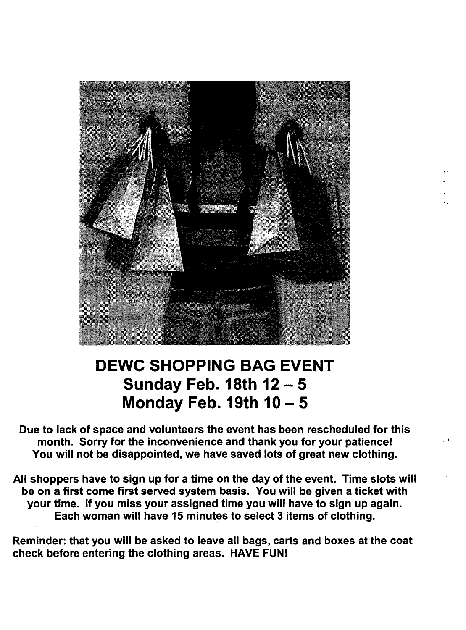

 $\ddot{\phantom{0}}$ 

## DEWC SHOPPING BAG EVENT Sunday Feb. 18th  $12 - 5$ Monday Feb. 19th  $10 - 5$

Due to lack of space and volunteers the event has been rescheduled for this month. Sorry for the inconvenience and thank you for your patience! You will not be disappointed, we have saved lots of great new clothing.

All shoppers have to sign up for a time on the day of the event. Time slots will be on a first come first served system basis. You will be given a ticket with your time. If you miss your assigned time you will have to sign up again. Each woman will have 15 minutes to select 3 items of clothing.

Reminder: that you will be asked to leave all bags, carts and boxes at the coat check before entering the clothing areas. HAVE FUN!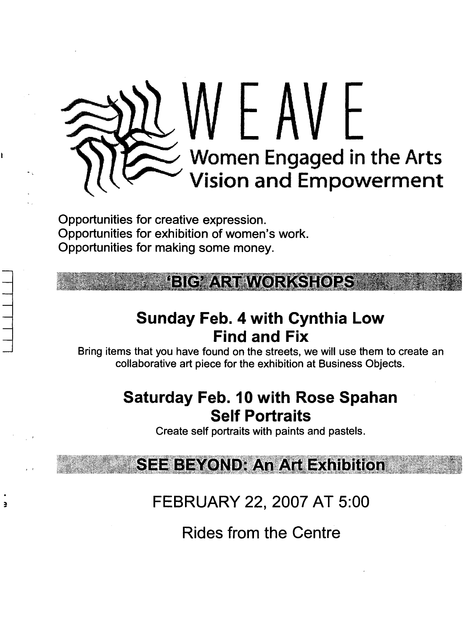# WEAVE Women Engaged in the Arts Vision and Empowerment

Opportunities for creative expression. Opportunities for exhibition of women's work. Opportunities for making some money.

ě

## BIG ART WORKSHOPS

## Sunday Feb. 4 with Cynthia Low Find and Fix

Bring items that you have found on the streets, we will use them to create an collaborative art piece for the exhibition at Business Objects.

### Saturday Feb. 10 with Rose Spahan Self Portraits

Create self portraits with paints and pastels.

**SEE BEYOND: An Art Exhibition** 

FEBRUARY 22, 2007 AT 5:00

Rides from the Centre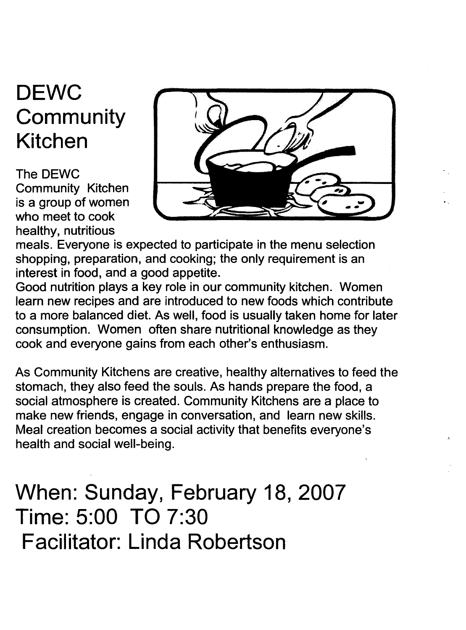## **DEWC Community Kitchen**

The DEWC Community Kitchen is a group of women who meet to cook healthy, nutritious



meals. Everyone is expected to participate in the menu selection shopping, preparation, and cooking; the only requirement is an interest in food, and a good appetite.

Good nutrition plays a key role in our community kitchen. Women learn new recipes and are introduced to new foods which contribute to a more balanced diet. As well, food is usually taken home for later consumption. Women often share nutritional knowledge as they cook and everyone gains from each other's enthusiasm.

As Community Kitchens are creative, healthy alternatives to feed the stomach, they also feed the souls. As hands prepare the food, a social atmosphere is created. Community Kitchens are a place to make new friends, engage in conversation, and learn new skills. Meal creation becomes a social activity that benefits everyone's health and social well-being.

**When: Sunday, February 18, 2007 Time: 5:00 TO 7:30 Facilitator: Linda Robertson**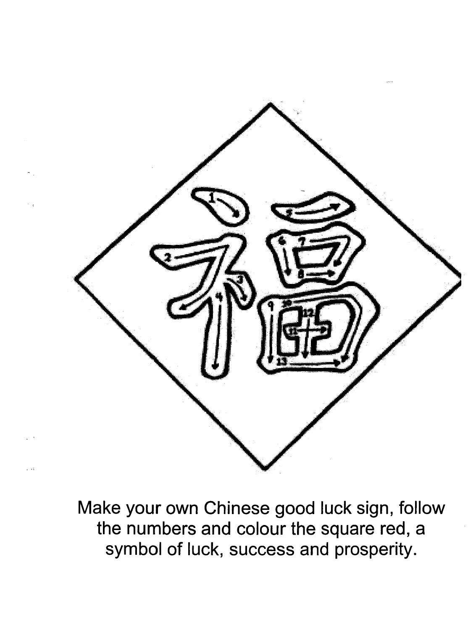

Make your own Chinese good luck sign, follow the numbers and colour the square red, a symbol of luck, success and prosperity.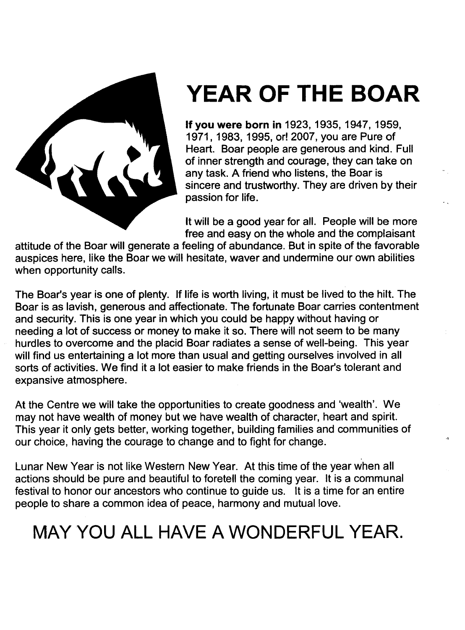

## **YEAR OF THE BOAR**

If you **were born in** 1923,1935,1947,1959, 1971, 1983, 1995, or! 2007, you are Pure of Heart. Boar people are generous and kind. Full of inner strength and courage, they can take on any task. A friend who listens, the Boar is sincere and trustworthy. They are driven by their passion for life.

It will be a good year for all. People will be more free and easy on the whole and the complaisant

attitude of the Boar will generate a feeling of abundance. But in spite of the favorable auspices here, like the Boar we will hesitate, waver and undermine our own abilities when opportunity calls.

The Boar's year is one of plenty. If life is worth living, it must be lived to the hilt. The Boar is as lavish, generous and affectionate. The fortunate Boar carries contentment and security. This is one year in which you could be happy without having or needing a lot of success or money to make it so. There will not seem to be many hurdles to overcome and the placid Boar radiates a sense of well-being. This year will find us entertaining a lot more than usual and getting ourselves involved in all sorts of activities. We find it a lot easier to make friends in the Boar's tolerant and expansive atmosphere.

At the Centre we will take the opportunities to create goodness and 'wealth'. We may not have wealth of money but we have wealth of character, heart and spirit. This year it only gets better, working together, building families and communities of our choice, having the courage to change and to fight for change.

Lunar New Year is not like Western New Year. At this time of the year when all actions should be pure and beautiful to foretell the coming year. It is a communal festival to honor our ancestors who continue to guide us. It is a time for an entire people to share a common idea of peace, harmony and mutual love.

## MAY YOU **ALL HAVE A WONDERFUL YEAR.**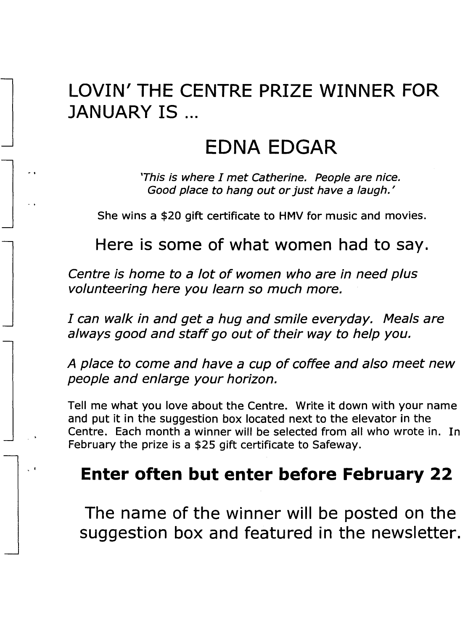## **LOVIN' THE CENTRE PRIZE WINNER FOR JANUARY IS** ...

## **EDNA EDGAR**

'This is where I met Catherine. People are nice. Good place to hang out or just have a laugh.'

She wins a \$20 gift certificate to HMV for music and movies.

**Here is some of what women had to say.**

Centre is home to a lot of women who are in need plus volunteering here you learn so much more.

I can walk in and get a hug and smile everyday. Meals are always good and staff go out of their way to help you.

A place to come and have a cup of coffee and also meet new people and enlarge your horizon.

Tell me what you love about the Centre. Write it down with your name and put it in the suggestion box located next to the elevator in the Centre. Each month a winner will be selected from all who wrote in. In February the prize is a \$25 gift certificate to Safeway.

## **Enter often but enter before February 22**

· .

**The name of the winner will be posted on the suggestion box and featured in the newsletter.**